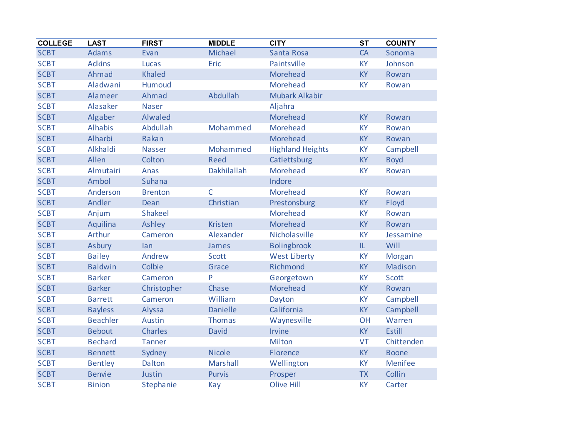| <b>COLLEGE</b> | <b>LAST</b>     | <b>FIRST</b>   | <b>MIDDLE</b>      | <b>CITY</b>             | $\overline{\text{ST}}$ | <b>COUNTY</b>  |
|----------------|-----------------|----------------|--------------------|-------------------------|------------------------|----------------|
| <b>SCBT</b>    | <b>Adams</b>    | Evan           | Michael            | Santa Rosa              | CA                     | Sonoma         |
| <b>SCBT</b>    | <b>Adkins</b>   | Lucas          | Eric               | Paintsville             | <b>KY</b>              | Johnson        |
| <b>SCBT</b>    | Ahmad           | <b>Khaled</b>  |                    | Morehead                | <b>KY</b>              | Rowan          |
| <b>SCBT</b>    | Aladwani        | Humoud         |                    | Morehead                | <b>KY</b>              | Rowan          |
| <b>SCBT</b>    | Alameer         | Ahmad          | Abdullah           | <b>Mubark Alkabir</b>   |                        |                |
| <b>SCBT</b>    | Alasaker        | <b>Naser</b>   |                    | Aljahra                 |                        |                |
| <b>SCBT</b>    | Algaber         | Alwaled        |                    | Morehead                | <b>KY</b>              | Rowan          |
| <b>SCBT</b>    | <b>Alhabis</b>  | Abdullah       | Mohammed           | Morehead                | KY                     | Rowan          |
| <b>SCBT</b>    | Alharbi         | Rakan          |                    | Morehead                | KY                     | Rowan          |
| <b>SCBT</b>    | Alkhaldi        | <b>Nasser</b>  | Mohammed           | <b>Highland Heights</b> | KY                     | Campbell       |
| <b>SCBT</b>    | Allen           | Colton         | <b>Reed</b>        | Catlettsburg            | <b>KY</b>              | <b>Boyd</b>    |
| <b>SCBT</b>    | Almutairi       | Anas           | <b>Dakhilallah</b> | <b>Morehead</b>         | KY                     | Rowan          |
| <b>SCBT</b>    | Ambol           | Suhana         |                    | Indore                  |                        |                |
| <b>SCBT</b>    | Anderson        | <b>Brenton</b> | $\overline{C}$     | Morehead                | <b>KY</b>              | Rowan          |
| <b>SCBT</b>    | Andler          | Dean           | Christian          | Prestonsburg            | <b>KY</b>              | Floyd          |
| <b>SCBT</b>    | Anjum           | <b>Shakeel</b> |                    | Morehead                | KY                     | Rowan          |
| <b>SCBT</b>    | Aquilina        | Ashley         | <b>Kristen</b>     | Morehead                | <b>KY</b>              | Rowan          |
| <b>SCBT</b>    | <b>Arthur</b>   | Cameron        | Alexander          | Nicholasville           | KY                     | Jessamine      |
| <b>SCBT</b>    | <b>Asbury</b>   | lan            | James              | <b>Bolingbrook</b>      | IL                     | Will           |
| <b>SCBT</b>    | <b>Bailey</b>   | Andrew         | <b>Scott</b>       | <b>West Liberty</b>     | KY                     | Morgan         |
| <b>SCBT</b>    | <b>Baldwin</b>  | Colbie         | Grace              | Richmond                | <b>KY</b>              | <b>Madison</b> |
| <b>SCBT</b>    | <b>Barker</b>   | Cameron        | P                  | Georgetown              | KY                     | <b>Scott</b>   |
| <b>SCBT</b>    | <b>Barker</b>   | Christopher    | Chase              | Morehead                | <b>KY</b>              | Rowan          |
| <b>SCBT</b>    | <b>Barrett</b>  | Cameron        | William            | Dayton                  | KY                     | Campbell       |
| <b>SCBT</b>    | <b>Bayless</b>  | Alyssa         | <b>Danielle</b>    | California              | <b>KY</b>              | Campbell       |
| <b>SCBT</b>    | <b>Beachler</b> | Austin         | <b>Thomas</b>      | Waynesville             | OH                     | Warren         |
| <b>SCBT</b>    | <b>Bebout</b>   | <b>Charles</b> | David              | Irvine                  | <b>KY</b>              | Estill         |
| <b>SCBT</b>    | <b>Bechard</b>  | <b>Tanner</b>  |                    | Milton                  | VT                     | Chittenden     |
| <b>SCBT</b>    | <b>Bennett</b>  | Sydney         | <b>Nicole</b>      | Florence                | <b>KY</b>              | <b>Boone</b>   |
| <b>SCBT</b>    | <b>Bentley</b>  | Dalton         | Marshall           | Wellington              | KY                     | <b>Menifee</b> |
| <b>SCBT</b>    | <b>Benvie</b>   | Justin         | <b>Purvis</b>      | Prosper                 | <b>TX</b>              | Collin         |
| <b>SCBT</b>    | <b>Binion</b>   | Stephanie      | Kay                | <b>Olive Hill</b>       | KY                     | Carter         |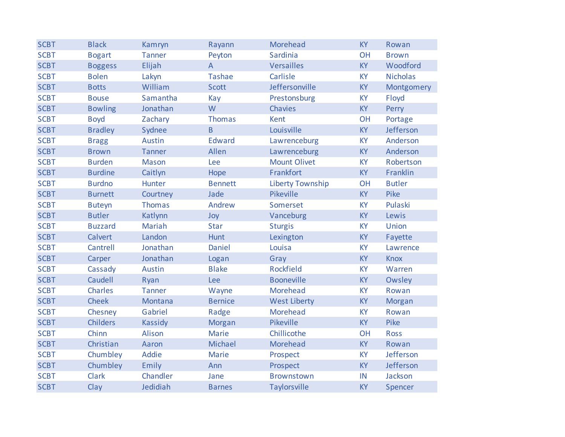| <b>SCBT</b> | <b>Black</b>    | Kamryn         | Rayann         | Morehead                | <b>KY</b> | Rowan           |
|-------------|-----------------|----------------|----------------|-------------------------|-----------|-----------------|
| <b>SCBT</b> | <b>Bogart</b>   | <b>Tanner</b>  | Peyton         | Sardinia                | <b>OH</b> | <b>Brown</b>    |
| <b>SCBT</b> | <b>Boggess</b>  | Elijah         | $\overline{A}$ | <b>Versailles</b>       | KY        | Woodford        |
| <b>SCBT</b> | <b>Bolen</b>    | Lakyn          | <b>Tashae</b>  | Carlisle                | <b>KY</b> | <b>Nicholas</b> |
| <b>SCBT</b> | <b>Botts</b>    | William        | Scott          | Jeffersonville          | KY        | Montgomery      |
| <b>SCBT</b> | <b>Bouse</b>    | Samantha       | Kay            | Prestonsburg            | KY        | Floyd           |
| <b>SCBT</b> | <b>Bowling</b>  | Jonathan       | W              | Chavies                 | <b>KY</b> | Perry           |
| <b>SCBT</b> | <b>Boyd</b>     | Zachary        | <b>Thomas</b>  | Kent                    | OH        | Portage         |
| <b>SCBT</b> | <b>Bradley</b>  | Sydnee         | B              | Louisville              | KY        | Jefferson       |
| <b>SCBT</b> | <b>Bragg</b>    | <b>Austin</b>  | <b>Edward</b>  | Lawrenceburg            | KY        | Anderson        |
| <b>SCBT</b> | <b>Brown</b>    | <b>Tanner</b>  | Allen          | Lawrenceburg            | KY        | Anderson        |
| <b>SCBT</b> | <b>Burden</b>   | <b>Mason</b>   | Lee            | <b>Mount Olivet</b>     | <b>KY</b> | Robertson       |
| <b>SCBT</b> | <b>Burdine</b>  | Caitlyn        | Hope           | Frankfort               | <b>KY</b> | Franklin        |
| <b>SCBT</b> | <b>Burdno</b>   | Hunter         | <b>Bennett</b> | <b>Liberty Township</b> | OH        | <b>Butler</b>   |
| <b>SCBT</b> | <b>Burnett</b>  | Courtney       | Jade           | Pikeville               | <b>KY</b> | Pike            |
| <b>SCBT</b> | <b>Buteyn</b>   | <b>Thomas</b>  | Andrew         | Somerset                | <b>KY</b> | Pulaski         |
| <b>SCBT</b> | <b>Butler</b>   | Katlynn        | Joy            | Vanceburg               | <b>KY</b> | Lewis           |
| <b>SCBT</b> | <b>Buzzard</b>  | <b>Mariah</b>  | Star           | <b>Sturgis</b>          | KY        | Union           |
| <b>SCBT</b> | Calvert         | Landon         | Hunt           | Lexington               | KY        | Fayette         |
| <b>SCBT</b> | Cantrell        | Jonathan       | <b>Daniel</b>  | Louisa                  | KY        | Lawrence        |
| <b>SCBT</b> | Carper          | Jonathan       | Logan          | Gray                    | <b>KY</b> | <b>Knox</b>     |
| <b>SCBT</b> | Cassady         | Austin         | <b>Blake</b>   | Rockfield               | KY        | Warren          |
| <b>SCBT</b> | Caudell         | Ryan           | Lee            | <b>Booneville</b>       | <b>KY</b> | Owsley          |
| <b>SCBT</b> | Charles         | <b>Tanner</b>  | Wayne          | Morehead                | <b>KY</b> | Rowan           |
| <b>SCBT</b> | <b>Cheek</b>    | Montana        | <b>Bernice</b> | <b>West Liberty</b>     | <b>KY</b> | <b>Morgan</b>   |
| <b>SCBT</b> | Chesney         | Gabriel        | Radge          | Morehead                | <b>KY</b> | Rowan           |
| <b>SCBT</b> | <b>Childers</b> | <b>Kassidy</b> | Morgan         | Pikeville               | KY        | Pike            |
| <b>SCBT</b> | Chinn           | Alison         | <b>Marie</b>   | Chillicothe             | OH        | <b>Ross</b>     |
| <b>SCBT</b> | Christian       | Aaron          | Michael        | Morehead                | <b>KY</b> | Rowan           |
| <b>SCBT</b> | Chumbley        | <b>Addie</b>   | <b>Marie</b>   | Prospect                | <b>KY</b> | Jefferson       |
| <b>SCBT</b> | Chumbley        | Emily          | Ann            | Prospect                | <b>KY</b> | Jefferson       |
| <b>SCBT</b> | <b>Clark</b>    | Chandler       | Jane           | <b>Brownstown</b>       | IN        | Jackson         |
| <b>SCBT</b> | Clay            | Jedidiah       | <b>Barnes</b>  | Taylorsville            | KY        | Spencer         |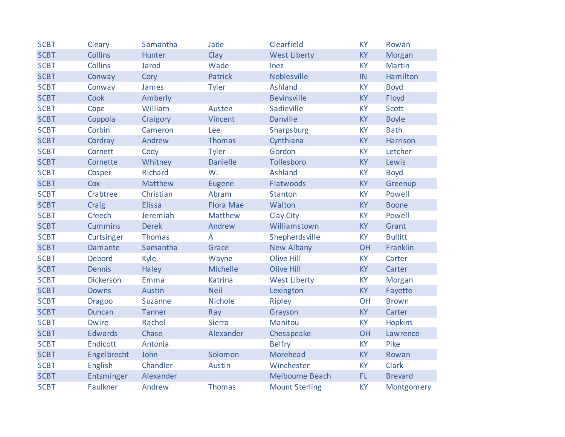| <b>SCBT</b> | Cleary           | Samantha       | Jade             | Clearfield             | <b>KY</b> | Rowan          |
|-------------|------------------|----------------|------------------|------------------------|-----------|----------------|
| <b>SCBT</b> | <b>Collins</b>   | Hunter         | Clay             | <b>West Liberty</b>    | <b>KY</b> | <b>Morgan</b>  |
| <b>SCBT</b> | <b>Collins</b>   | Jarod          | Wade             | Inez                   | KY        | <b>Martin</b>  |
| <b>SCBT</b> | Conway           | Cory           | <b>Patrick</b>   | Noblesville            | IN        | Hamilton       |
| <b>SCBT</b> | Conway           | James          | <b>Tyler</b>     | <b>Ashland</b>         | KY        | <b>Boyd</b>    |
| <b>SCBT</b> | Cook             | Amberly        |                  | <b>Bevinsville</b>     | KY        | Floyd          |
| <b>SCBT</b> | Cope             | William        | Austen           | Sadieville             | KY        | <b>Scott</b>   |
| <b>SCBT</b> | Coppola          | Craigory       | Vincent          | <b>Danville</b>        | KY        | <b>Boyle</b>   |
| <b>SCBT</b> | Corbin           | Cameron        | Lee              | Sharpsburg             | <b>KY</b> | <b>Bath</b>    |
| <b>SCBT</b> | Cordray          | Andrew         | <b>Thomas</b>    | Cynthiana              | <b>KY</b> | Harrison       |
| <b>SCBT</b> | Cornett          | Cody           | <b>Tyler</b>     | Gordon                 | <b>KY</b> | Letcher        |
| <b>SCBT</b> | Cornette         | Whitney        | <b>Danielle</b>  | Tollesboro             | <b>KY</b> | Lewis          |
| <b>SCBT</b> | Cosper           | <b>Richard</b> | W.               | <b>Ashland</b>         | <b>KY</b> | <b>Boyd</b>    |
| <b>SCBT</b> | Cox              | <b>Matthew</b> | <b>Eugene</b>    | Flatwoods              | <b>KY</b> | Greenup        |
| <b>SCBT</b> | Crabtree         | Christian      | Abram            | <b>Stanton</b>         | <b>KY</b> | Powell         |
| <b>SCBT</b> | Craig            | <b>Elissa</b>  | <b>Flora Mae</b> | Walton                 | KY        | <b>Boone</b>   |
| <b>SCBT</b> | <b>Creech</b>    | Jeremiah       | Matthew          | Clay City              | <b>KY</b> | Powell         |
| <b>SCBT</b> | <b>Cummins</b>   | <b>Derek</b>   | Andrew           | Williamstown           | <b>KY</b> | Grant          |
| <b>SCBT</b> | Curtsinger       | <b>Thomas</b>  | A                | Shepherdsville         | <b>KY</b> | <b>Bullitt</b> |
| <b>SCBT</b> | Damante          | Samantha       | Grace            | <b>New Albany</b>      | <b>OH</b> | Franklin       |
| <b>SCBT</b> | <b>Debord</b>    | Kyle           | Wayne            | Olive Hill             | <b>KY</b> | Carter         |
| <b>SCBT</b> | <b>Dennis</b>    | Haley          | Michelle         | <b>Olive Hill</b>      | <b>KY</b> | Carter         |
| <b>SCBT</b> | <b>Dickerson</b> | Emma           | <b>Katrina</b>   | <b>West Liberty</b>    | KY        | Morgan         |
| <b>SCBT</b> | <b>Downs</b>     | Austin         | <b>Neil</b>      | Lexington              | <b>KY</b> | Fayette        |
| <b>SCBT</b> | <b>Dragoo</b>    | <b>Suzanne</b> | <b>Nichole</b>   | Ripley                 | <b>OH</b> | <b>Brown</b>   |
| <b>SCBT</b> | Duncan           | <b>Tanner</b>  | Ray              | Grayson                | <b>KY</b> | Carter         |
| <b>SCBT</b> | <b>Dwire</b>     | Rachel         | <b>Sierra</b>    | Manitou                | <b>KY</b> | <b>Hopkins</b> |
| <b>SCBT</b> | <b>Edwards</b>   | Chase          | Alexander        | Chesapeake             | OH        | Lawrence       |
| <b>SCBT</b> | Endicott         | Antonia        |                  | <b>Belfry</b>          | KY        | Pike           |
| <b>SCBT</b> | Engelbrecht      | John           | Solomon          | Morehead               | <b>KY</b> | Rowan          |
| <b>SCBT</b> | English          | Chandler       | <b>Austin</b>    | Winchester             | <b>KY</b> | <b>Clark</b>   |
| <b>SCBT</b> | Entsminger       | Alexander      |                  | <b>Melbourne Beach</b> | FL.       | <b>Brevard</b> |
| <b>SCBT</b> | Faulkner         | Andrew         | <b>Thomas</b>    | <b>Mount Sterling</b>  | KY        | Montgomery     |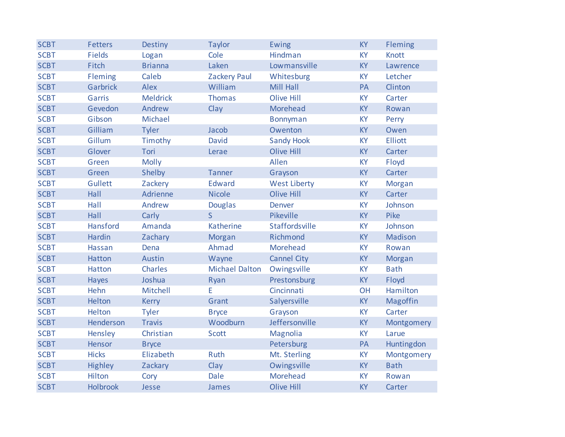| <b>SCBT</b> | <b>Fetters</b>  | <b>Destiny</b>  | <b>Taylor</b>         | Ewing               | <b>KY</b> | Fleming        |
|-------------|-----------------|-----------------|-----------------------|---------------------|-----------|----------------|
| <b>SCBT</b> | <b>Fields</b>   | Logan           | Cole                  | Hindman             | <b>KY</b> | <b>Knott</b>   |
| <b>SCBT</b> | Fitch           | <b>Brianna</b>  | Laken                 | Lowmansville        | <b>KY</b> | Lawrence       |
| <b>SCBT</b> | Fleming         | Caleb           | <b>Zackery Paul</b>   | Whitesburg          | KY        | Letcher        |
| <b>SCBT</b> | Garbrick        | Alex            | William               | Mill Hall           | PA        | Clinton        |
| <b>SCBT</b> | Garris          | <b>Meldrick</b> | <b>Thomas</b>         | <b>Olive Hill</b>   | KY        | Carter         |
| <b>SCBT</b> | Gevedon         | Andrew          | Clay                  | Morehead            | <b>KY</b> | Rowan          |
| <b>SCBT</b> | Gibson          | Michael         |                       | <b>Bonnyman</b>     | <b>KY</b> | Perry          |
| <b>SCBT</b> | Gilliam         | <b>Tyler</b>    | Jacob                 | Owenton             | KY        | Owen           |
| <b>SCBT</b> | Gillum          | Timothy         | David                 | <b>Sandy Hook</b>   | <b>KY</b> | <b>Elliott</b> |
| <b>SCBT</b> | Glover          | Tori            | Lerae                 | <b>Olive Hill</b>   | <b>KY</b> | Carter         |
| <b>SCBT</b> | Green           | <b>Molly</b>    |                       | Allen               | KY        | Floyd          |
| <b>SCBT</b> | Green           | Shelby          | <b>Tanner</b>         | Grayson             | <b>KY</b> | Carter         |
| <b>SCBT</b> | <b>Gullett</b>  | Zackery         | <b>Edward</b>         | <b>West Liberty</b> | KY        | Morgan         |
| <b>SCBT</b> | Hall            | Adrienne        | <b>Nicole</b>         | <b>Olive Hill</b>   | <b>KY</b> | Carter         |
| <b>SCBT</b> | Hall            | Andrew          | <b>Douglas</b>        | Denver              | KY        | Johnson        |
| <b>SCBT</b> | Hall            | Carly           | $\mathsf{S}$          | Pikeville           | <b>KY</b> | Pike           |
| <b>SCBT</b> | Hansford        | Amanda          | Katherine             | Staffordsville      | <b>KY</b> | Johnson        |
| <b>SCBT</b> | <b>Hardin</b>   | Zachary         | Morgan                | Richmond            | <b>KY</b> | Madison        |
| <b>SCBT</b> | Hassan          | Dena            | Ahmad                 | Morehead            | KY        | Rowan          |
| <b>SCBT</b> | Hatton          | Austin          | Wayne                 | <b>Cannel City</b>  | <b>KY</b> | <b>Morgan</b>  |
| <b>SCBT</b> | Hatton          | <b>Charles</b>  | <b>Michael Dalton</b> | Owingsville         | <b>KY</b> | <b>Bath</b>    |
| <b>SCBT</b> | Hayes           | Joshua          | Ryan                  | Prestonsburg        | KY        | Floyd          |
| <b>SCBT</b> | Hehn            | Mitchell        | E                     | Cincinnati          | OH        | Hamilton       |
| <b>SCBT</b> | Helton          | <b>Kerry</b>    | Grant                 | Salyersville        | <b>KY</b> | Magoffin       |
| <b>SCBT</b> | Helton          | <b>Tyler</b>    | <b>Bryce</b>          | Grayson             | KY        | Carter         |
| <b>SCBT</b> | Henderson       | <b>Travis</b>   | Woodburn              | Jeffersonville      | KY        | Montgomery     |
| <b>SCBT</b> | Hensley         | Christian       | <b>Scott</b>          | Magnolia            | <b>KY</b> | Larue          |
| <b>SCBT</b> | Hensor          | <b>Bryce</b>    |                       | Petersburg          | PA        | Huntingdon     |
| <b>SCBT</b> | <b>Hicks</b>    | Elizabeth       | <b>Ruth</b>           | Mt. Sterling        | KY        | Montgomery     |
| <b>SCBT</b> | <b>Highley</b>  | Zackary         | Clay                  | Owingsville         | KY        | <b>Bath</b>    |
| <b>SCBT</b> | Hilton          | Cory            | Dale                  | Morehead            | KY        | Rowan          |
| <b>SCBT</b> | <b>Holbrook</b> | Jesse           | James                 | <b>Olive Hill</b>   | <b>KY</b> | Carter         |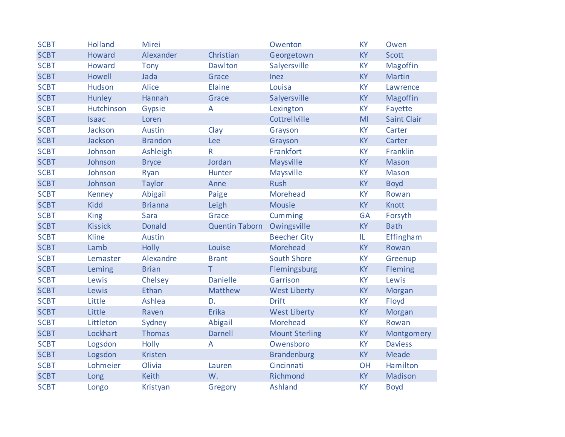| <b>SCBT</b> | <b>Holland</b> | Mirei          |                       | Owenton               | KY             | Owen               |
|-------------|----------------|----------------|-----------------------|-----------------------|----------------|--------------------|
| <b>SCBT</b> | Howard         | Alexander      | Christian             | Georgetown            | KY             | <b>Scott</b>       |
| <b>SCBT</b> | Howard         | <b>Tony</b>    | Dawlton               | Salyersville          | KY             | Magoffin           |
| <b>SCBT</b> | Howell         | Jada           | Grace                 | Inez                  | <b>KY</b>      | <b>Martin</b>      |
| <b>SCBT</b> | Hudson         | Alice          | Elaine                | Louisa                | KY             | Lawrence           |
| <b>SCBT</b> | Hunley         | Hannah         | Grace                 | Salyersville          | KY             | Magoffin           |
| <b>SCBT</b> | Hutchinson     | Gypsie         | A                     | Lexington             | KY             | Fayette            |
| <b>SCBT</b> | <b>Isaac</b>   | Loren          |                       | Cottrellville         | M <sub>l</sub> | <b>Saint Clair</b> |
| <b>SCBT</b> | Jackson        | Austin         | Clay                  | Grayson               | <b>KY</b>      | Carter             |
| <b>SCBT</b> | Jackson        | <b>Brandon</b> | <b>Lee</b>            | Grayson               | KY             | Carter             |
| <b>SCBT</b> | Johnson        | Ashleigh       | $\mathsf{R}$          | Frankfort             | <b>KY</b>      | Franklin           |
| <b>SCBT</b> | Johnson        | <b>Bryce</b>   | Jordan                | Maysville             | <b>KY</b>      | <b>Mason</b>       |
| <b>SCBT</b> | Johnson        | Ryan           | Hunter                | Maysville             | <b>KY</b>      | <b>Mason</b>       |
| <b>SCBT</b> | Johnson        | <b>Taylor</b>  | Anne                  | <b>Rush</b>           | <b>KY</b>      | <b>Boyd</b>        |
| <b>SCBT</b> | Kenney         | Abigail        | Paige                 | Morehead              | <b>KY</b>      | Rowan              |
| <b>SCBT</b> | <b>Kidd</b>    | <b>Brianna</b> | Leigh                 | <b>Mousie</b>         | <b>KY</b>      | <b>Knott</b>       |
| <b>SCBT</b> | <b>King</b>    | <b>Sara</b>    | Grace                 | Cumming               | <b>GA</b>      | Forsyth            |
| <b>SCBT</b> | <b>Kissick</b> | <b>Donald</b>  | <b>Quentin Taborn</b> | Owingsville           | <b>KY</b>      | <b>Bath</b>        |
| <b>SCBT</b> | Kline          | <b>Austin</b>  |                       | <b>Beecher City</b>   | IL             | Effingham          |
| <b>SCBT</b> | Lamb           | <b>Holly</b>   | Louise                | Morehead              | KY             | Rowan              |
| <b>SCBT</b> | Lemaster       | Alexandre      | <b>Brant</b>          | <b>South Shore</b>    | KY             | Greenup            |
| <b>SCBT</b> | Leming         | <b>Brian</b>   | T.                    | Flemingsburg          | KY             | Fleming            |
| <b>SCBT</b> | Lewis          | Chelsey        | <b>Danielle</b>       | Garrison              | <b>KY</b>      | Lewis              |
| <b>SCBT</b> | Lewis          | Ethan          | Matthew               | <b>West Liberty</b>   | <b>KY</b>      | <b>Morgan</b>      |
| <b>SCBT</b> | Little         | Ashlea         | D.                    | <b>Drift</b>          | KY             | Floyd              |
| <b>SCBT</b> | Little         | Raven          | Erika                 | <b>West Liberty</b>   | KY             | Morgan             |
| <b>SCBT</b> | Littleton      | Sydney         | Abigail               | Morehead              | KY             | Rowan              |
| <b>SCBT</b> | Lockhart       | <b>Thomas</b>  | <b>Darnell</b>        | <b>Mount Sterling</b> | <b>KY</b>      | Montgomery         |
| <b>SCBT</b> | Logsdon        | <b>Holly</b>   | A                     | Owensboro             | <b>KY</b>      | <b>Daviess</b>     |
| <b>SCBT</b> | Logsdon        | <b>Kristen</b> |                       | <b>Brandenburg</b>    | <b>KY</b>      | <b>Meade</b>       |
| <b>SCBT</b> | Lohmeier       | Olivia         | Lauren                | Cincinnati            | OH             | Hamilton           |
| <b>SCBT</b> | Long           | <b>Keith</b>   | W.                    | Richmond              | <b>KY</b>      | Madison            |
| <b>SCBT</b> | Longo          | Kristyan       | Gregory               | <b>Ashland</b>        | <b>KY</b>      | <b>Boyd</b>        |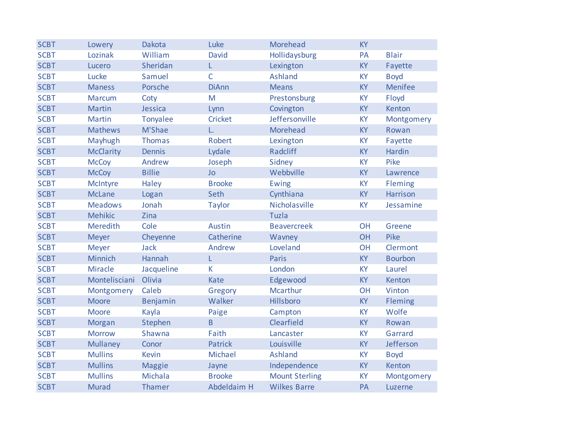| <b>SCBT</b> | Lowery           | Dakota        | Luke           | Morehead              | <b>KY</b> |                 |
|-------------|------------------|---------------|----------------|-----------------------|-----------|-----------------|
| <b>SCBT</b> | Lozinak          | William       | David          | Hollidaysburg         | PA        | <b>Blair</b>    |
| <b>SCBT</b> | Lucero           | Sheridan      | L.             | Lexington             | <b>KY</b> | Fayette         |
| <b>SCBT</b> | Lucke            | Samuel        | $\mathsf{C}$   | Ashland               | <b>KY</b> | <b>Boyd</b>     |
| <b>SCBT</b> | <b>Maness</b>    | Porsche       | <b>DiAnn</b>   | <b>Means</b>          | KY        | <b>Menifee</b>  |
| <b>SCBT</b> | <b>Marcum</b>    | Coty          | M              | Prestonsburg          | KY        | Floyd           |
| <b>SCBT</b> | <b>Martin</b>    | Jessica       | Lynn           | Covington             | <b>KY</b> | Kenton          |
| <b>SCBT</b> | <b>Martin</b>    | Tonyalee      | <b>Cricket</b> | Jeffersonville        | KY        | Montgomery      |
| <b>SCBT</b> | <b>Mathews</b>   | M'Shae        | L.             | Morehead              | <b>KY</b> | Rowan           |
| <b>SCBT</b> | Mayhugh          | <b>Thomas</b> | Robert         | Lexington             | <b>KY</b> | Fayette         |
| <b>SCBT</b> | <b>McClarity</b> | <b>Dennis</b> | Lydale         | Radcliff              | <b>KY</b> | Hardin          |
| <b>SCBT</b> | <b>McCoy</b>     | Andrew        | Joseph         | Sidney                | KY        | Pike            |
| <b>SCBT</b> | <b>McCoy</b>     | <b>Billie</b> | <b>Jo</b>      | Webbville             | KY        | Lawrence        |
| <b>SCBT</b> | <b>McIntyre</b>  | Haley         | <b>Brooke</b>  | Ewing                 | KY        | <b>Fleming</b>  |
| <b>SCBT</b> | <b>McLane</b>    | Logan         | Seth           | Cynthiana             | KY        | <b>Harrison</b> |
| <b>SCBT</b> | <b>Meadows</b>   | Jonah         | <b>Taylor</b>  | Nicholasville         | <b>KY</b> | Jessamine       |
| <b>SCBT</b> | <b>Mehikic</b>   | Zina          |                | Tuzla                 |           |                 |
| <b>SCBT</b> | Meredith         | Cole          | <b>Austin</b>  | <b>Beavercreek</b>    | OH        | Greene          |
| <b>SCBT</b> | Meyer            | Cheyenne      | Catherine      | Wavney                | OH        | Pike            |
| <b>SCBT</b> | Meyer            | <b>Jack</b>   | Andrew         | Loveland              | OH        | Clermont        |
| <b>SCBT</b> | Minnich          | Hannah        | L              | Paris                 | <b>KY</b> | <b>Bourbon</b>  |
| <b>SCBT</b> | <b>Miracle</b>   | Jacqueline    | K              | London                | <b>KY</b> | Laurel          |
| <b>SCBT</b> | Montelisciani    | Olivia        | <b>Kate</b>    | Edgewood              | <b>KY</b> | Kenton          |
| <b>SCBT</b> | Montgomery       | Caleb         | Gregory        | <b>Mcarthur</b>       | <b>OH</b> | Vinton          |
| <b>SCBT</b> | <b>Moore</b>     | Benjamin      | Walker         | Hillsboro             | <b>KY</b> | Fleming         |
| <b>SCBT</b> | <b>Moore</b>     | Kayla         | Paige          | Campton               | KY        | Wolfe           |
| <b>SCBT</b> | Morgan           | Stephen       | $\overline{B}$ | Clearfield            | KY        | Rowan           |
| <b>SCBT</b> | <b>Morrow</b>    | Shawna        | Faith          | Lancaster             | <b>KY</b> | Garrard         |
| <b>SCBT</b> | <b>Mullaney</b>  | Conor         | <b>Patrick</b> | Louisville            | <b>KY</b> | Jefferson       |
| <b>SCBT</b> | <b>Mullins</b>   | <b>Kevin</b>  | Michael        | Ashland               | KY        | <b>Boyd</b>     |
| <b>SCBT</b> | <b>Mullins</b>   | <b>Maggie</b> | Jayne          | Independence          | <b>KY</b> | Kenton          |
| <b>SCBT</b> | <b>Mullins</b>   | Michala       | <b>Brooke</b>  | <b>Mount Sterling</b> | KY        | Montgomery      |
| <b>SCBT</b> | <b>Murad</b>     | Thamer        | Abdeldaim H    | <b>Wilkes Barre</b>   | PA        | Luzerne         |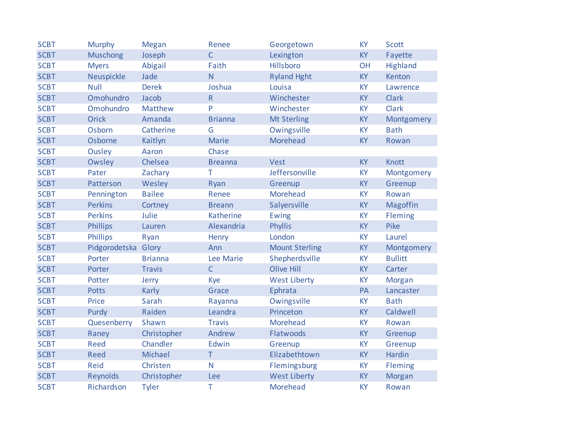| <b>SCBT</b> | <b>Murphy</b>   | <b>Megan</b>   | Renee          | Georgetown            | <b>KY</b> | <b>Scott</b>   |
|-------------|-----------------|----------------|----------------|-----------------------|-----------|----------------|
| <b>SCBT</b> | <b>Muschong</b> | Joseph         | $\mathsf{C}$   | Lexington             | KY        | Fayette        |
| <b>SCBT</b> | <b>Myers</b>    | Abigail        | Faith          | Hillsboro             | OH        | Highland       |
| <b>SCBT</b> | Neuspickle      | Jade           | $\mathsf{N}$   | <b>Ryland Hght</b>    | <b>KY</b> | Kenton         |
| <b>SCBT</b> | <b>Null</b>     | <b>Derek</b>   | Joshua         | Louisa                | <b>KY</b> | Lawrence       |
| <b>SCBT</b> | Omohundro       | Jacob          | ${\sf R}$      | Winchester            | KY        | <b>Clark</b>   |
| <b>SCBT</b> | Omohundro       | Matthew        | P              | Winchester            | <b>KY</b> | Clark          |
| <b>SCBT</b> | <b>Orick</b>    | Amanda         | <b>Brianna</b> | <b>Mt Sterling</b>    | KY        | Montgomery     |
| <b>SCBT</b> | Osborn          | Catherine      | G              | Owingsville           | <b>KY</b> | <b>Bath</b>    |
| <b>SCBT</b> | Osborne         | Kaitlyn        | <b>Marie</b>   | Morehead              | <b>KY</b> | Rowan          |
| <b>SCBT</b> | Ousley          | Aaron          | Chase          |                       |           |                |
| <b>SCBT</b> | Owsley          | Chelsea        | <b>Breanna</b> | <b>Vest</b>           | KY        | <b>Knott</b>   |
| <b>SCBT</b> | Pater           | Zachary        | Τ              | Jeffersonville        | <b>KY</b> | Montgomery     |
| <b>SCBT</b> | Patterson       | Wesley         | Ryan           | Greenup               | KY        | Greenup        |
| <b>SCBT</b> | Pennington      | <b>Bailee</b>  | Renee          | Morehead              | KY        | Rowan          |
| <b>SCBT</b> | <b>Perkins</b>  | Cortney        | <b>Breann</b>  | Salyersville          | KY        | Magoffin       |
| <b>SCBT</b> | <b>Perkins</b>  | Julie          | Katherine      | Ewing                 | KY        | Fleming        |
| <b>SCBT</b> | <b>Phillips</b> | Lauren         | Alexandria     | <b>Phyllis</b>        | KY        | Pike           |
| <b>SCBT</b> | <b>Phillips</b> | Ryan           | Henry          | London                | KY        | Laurel         |
| <b>SCBT</b> | Pidgorodetska   | Glory          | Ann            | <b>Mount Sterling</b> | KY        | Montgomery     |
| <b>SCBT</b> | Porter          | <b>Brianna</b> | Lee Marie      | Shepherdsville        | KY        | <b>Bullitt</b> |
| <b>SCBT</b> | Porter          | <b>Travis</b>  | $\mathsf{C}$   | <b>Olive Hill</b>     | <b>KY</b> | Carter         |
| <b>SCBT</b> | Potter          | Jerry          | Kye            | <b>West Liberty</b>   | KY        | Morgan         |
| <b>SCBT</b> | <b>Potts</b>    | <b>Karly</b>   | Grace          | Ephrata               | PA        | Lancaster      |
| <b>SCBT</b> | Price           | Sarah          | Rayanna        | Owingsville           | <b>KY</b> | <b>Bath</b>    |
| <b>SCBT</b> | Purdy           | Raiden         | Leandra        | Princeton             | <b>KY</b> | Caldwell       |
| <b>SCBT</b> | Quesenberry     | Shawn          | <b>Travis</b>  | <b>Morehead</b>       | <b>KY</b> | Rowan          |
| <b>SCBT</b> | Raney           | Christopher    | Andrew         | Flatwoods             | <b>KY</b> | Greenup        |
| <b>SCBT</b> | <b>Reed</b>     | Chandler       | Edwin          | Greenup               | KY        | Greenup        |
| <b>SCBT</b> | <b>Reed</b>     | Michael        | $\top$         | Elizabethtown         | KY        | Hardin         |
| <b>SCBT</b> | Reid            | Christen       | N              | Flemingsburg          | KY        | Fleming        |
| <b>SCBT</b> | <b>Reynolds</b> | Christopher    | Lee            | <b>West Liberty</b>   | KY        | Morgan         |
| <b>SCBT</b> | Richardson      | <b>Tyler</b>   | T              | Morehead              | <b>KY</b> | Rowan          |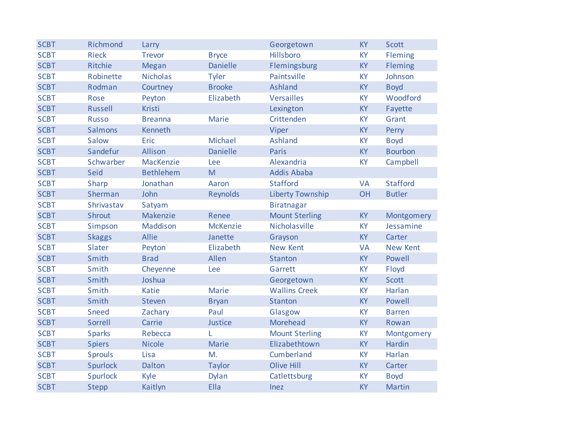| <b>SCBT</b> | Richmond       | Larry            |                 | Georgetown              | <b>KY</b> | <b>Scott</b>    |
|-------------|----------------|------------------|-----------------|-------------------------|-----------|-----------------|
| <b>SCBT</b> | <b>Rieck</b>   | <b>Trevor</b>    | <b>Bryce</b>    | Hillsboro               | <b>KY</b> | Fleming         |
| <b>SCBT</b> | Ritchie        | Megan            | <b>Danielle</b> | Flemingsburg            | <b>KY</b> | Fleming         |
| <b>SCBT</b> | Robinette      | <b>Nicholas</b>  | <b>Tyler</b>    | Paintsville             | <b>KY</b> | Johnson         |
| <b>SCBT</b> | Rodman         | Courtney         | <b>Brooke</b>   | <b>Ashland</b>          | KY        | <b>Boyd</b>     |
| <b>SCBT</b> | Rose           | Peyton           | Elizabeth       | <b>Versailles</b>       | <b>KY</b> | Woodford        |
| <b>SCBT</b> | <b>Russell</b> | <b>Kristi</b>    |                 | Lexington               | KY        | Fayette         |
| <b>SCBT</b> | <b>Russo</b>   | <b>Breanna</b>   | Marie           | Crittenden              | <b>KY</b> | Grant           |
| <b>SCBT</b> | <b>Salmons</b> | Kenneth          |                 | Viper                   | KY        | Perry           |
| <b>SCBT</b> | Salow          | Eric             | Michael         | <b>Ashland</b>          | <b>KY</b> | <b>Boyd</b>     |
| <b>SCBT</b> | Sandefur       | Allison          | <b>Danielle</b> | Paris                   | <b>KY</b> | <b>Bourbon</b>  |
| <b>SCBT</b> | Schwarber      | MacKenzie        | Lee             | Alexandria              | KY        | Campbell        |
| <b>SCBT</b> | Seid           | <b>Bethlehem</b> | M               | <b>Addis Ababa</b>      |           |                 |
| <b>SCBT</b> | <b>Sharp</b>   | Jonathan         | Aaron           | <b>Stafford</b>         | <b>VA</b> | <b>Stafford</b> |
| <b>SCBT</b> | Sherman        | John             | <b>Reynolds</b> | <b>Liberty Township</b> | OH        | <b>Butler</b>   |
| <b>SCBT</b> | Shrivastav     | Satyam           |                 | <b>Biratnagar</b>       |           |                 |
| <b>SCBT</b> | Shrout         | Makenzie         | Renee           | <b>Mount Sterling</b>   | <b>KY</b> | Montgomery      |
| <b>SCBT</b> | Simpson        | Maddison         | McKenzie        | Nicholasville           | KY        | Jessamine       |
| <b>SCBT</b> | <b>Skaggs</b>  | Allie            | Janette         | Grayson                 | KY        | Carter          |
| <b>SCBT</b> | Slater         | Peyton           | Elizabeth       | <b>New Kent</b>         | <b>VA</b> | <b>New Kent</b> |
| <b>SCBT</b> | Smith          | <b>Brad</b>      | Allen           | <b>Stanton</b>          | <b>KY</b> | Powell          |
| <b>SCBT</b> | Smith          | Cheyenne         | Lee             | Garrett                 | <b>KY</b> | Floyd           |
| <b>SCBT</b> | Smith          | Joshua           |                 | Georgetown              | KY        | <b>Scott</b>    |
| <b>SCBT</b> | Smith          | Katie            | Marie           | <b>Wallins Creek</b>    | <b>KY</b> | Harlan          |
| <b>SCBT</b> | Smith          | <b>Steven</b>    | <b>Bryan</b>    | Stanton                 | <b>KY</b> | Powell          |
| <b>SCBT</b> | Sneed          | Zachary          | Paul            | Glasgow                 | KY        | <b>Barren</b>   |
| <b>SCBT</b> | Sorrell        | Carrie           | Justice         | Morehead                | <b>KY</b> | Rowan           |
| <b>SCBT</b> | <b>Sparks</b>  | Rebecca          | L               | <b>Mount Sterling</b>   | <b>KY</b> | Montgomery      |
| <b>SCBT</b> | <b>Spiers</b>  | <b>Nicole</b>    | Marie           | Elizabethtown           | <b>KY</b> | Hardin          |
| <b>SCBT</b> | <b>Sprouls</b> | Lisa             | M.              | Cumberland              | KY        | Harlan          |
| <b>SCBT</b> | Spurlock       | Dalton           | <b>Taylor</b>   | <b>Olive Hill</b>       | <b>KY</b> | Carter          |
| <b>SCBT</b> | Spurlock       | Kyle             | Dylan           | Catlettsburg            | KY        | <b>Boyd</b>     |
| <b>SCBT</b> | <b>Stepp</b>   | Kaitlyn          | Ella            | Inez                    | <b>KY</b> | <b>Martin</b>   |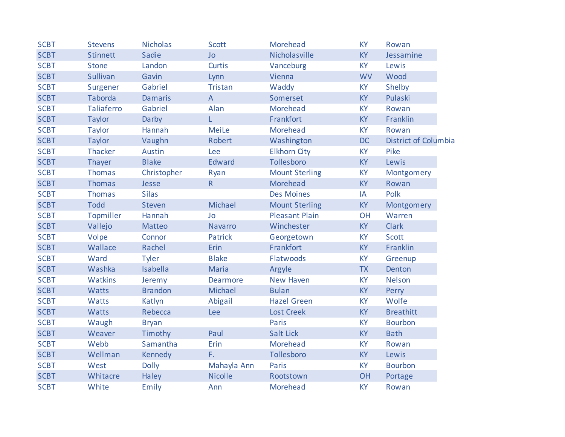| <b>SCBT</b> | <b>Stevens</b>    | <b>Nicholas</b> | <b>Scott</b>              | Morehead              | <b>KY</b> | Rowan                |
|-------------|-------------------|-----------------|---------------------------|-----------------------|-----------|----------------------|
| <b>SCBT</b> | <b>Stinnett</b>   | Sadie           | Jo                        | Nicholasville         | <b>KY</b> | Jessamine            |
| <b>SCBT</b> | <b>Stone</b>      | Landon          | <b>Curtis</b>             | Vanceburg             | <b>KY</b> | Lewis                |
| <b>SCBT</b> | Sullivan          | Gavin           | Lynn                      | Vienna                | <b>WV</b> | Wood                 |
| <b>SCBT</b> | Surgener          | Gabriel         | <b>Tristan</b>            | Waddy                 | KY        | Shelby               |
| <b>SCBT</b> | <b>Taborda</b>    | <b>Damaris</b>  | $\boldsymbol{\mathsf{A}}$ | Somerset              | KY        | Pulaski              |
| <b>SCBT</b> | <b>Taliaferro</b> | Gabriel         | Alan                      | Morehead              | KY        | Rowan                |
| <b>SCBT</b> | <b>Taylor</b>     | Darby           | L.                        | Frankfort             | KY        | Franklin             |
| <b>SCBT</b> | <b>Taylor</b>     | Hannah          | <b>MeiLe</b>              | Morehead              | <b>KY</b> | Rowan                |
| <b>SCBT</b> | <b>Taylor</b>     | Vaughn          | Robert                    | Washington            | <b>DC</b> | District of Columbia |
| <b>SCBT</b> | <b>Thacker</b>    | <b>Austin</b>   | Lee                       | <b>Elkhorn City</b>   | <b>KY</b> | Pike                 |
| <b>SCBT</b> | Thayer            | <b>Blake</b>    | <b>Edward</b>             | Tollesboro            | <b>KY</b> | Lewis                |
| <b>SCBT</b> | <b>Thomas</b>     | Christopher     | Ryan                      | <b>Mount Sterling</b> | <b>KY</b> | Montgomery           |
| <b>SCBT</b> | Thomas            | Jesse           | R                         | Morehead              | <b>KY</b> | Rowan                |
| <b>SCBT</b> | <b>Thomas</b>     | <b>Silas</b>    |                           | <b>Des Moines</b>     | IA        | Polk                 |
| <b>SCBT</b> | <b>Todd</b>       | <b>Steven</b>   | Michael                   | <b>Mount Sterling</b> | <b>KY</b> | Montgomery           |
| <b>SCBT</b> | Topmiller         | Hannah          | Jo                        | <b>Pleasant Plain</b> | <b>OH</b> | Warren               |
| <b>SCBT</b> | Vallejo           | Matteo          | <b>Navarro</b>            | Winchester            | <b>KY</b> | <b>Clark</b>         |
| <b>SCBT</b> | Volpe             | Connor          | <b>Patrick</b>            | Georgetown            | <b>KY</b> | <b>Scott</b>         |
| <b>SCBT</b> | Wallace           | Rachel          | Erin                      | Frankfort             | <b>KY</b> | Franklin             |
| <b>SCBT</b> | Ward              | <b>Tyler</b>    | <b>Blake</b>              | Flatwoods             | KY        | Greenup              |
| <b>SCBT</b> | Washka            | Isabella        | Maria                     | Argyle                | <b>TX</b> | Denton               |
| <b>SCBT</b> | <b>Watkins</b>    | Jeremy          | <b>Dearmore</b>           | <b>New Haven</b>      | KY        | <b>Nelson</b>        |
| <b>SCBT</b> | <b>Watts</b>      | <b>Brandon</b>  | Michael                   | <b>Bulan</b>          | <b>KY</b> | Perry                |
| <b>SCBT</b> | <b>Watts</b>      | Katlyn          | Abigail                   | <b>Hazel Green</b>    | KY        | Wolfe                |
| <b>SCBT</b> | <b>Watts</b>      | Rebecca         | Lee                       | <b>Lost Creek</b>     | <b>KY</b> | <b>Breathitt</b>     |
| <b>SCBT</b> | Waugh             | <b>Bryan</b>    |                           | Paris                 | KY        | <b>Bourbon</b>       |
| <b>SCBT</b> | Weaver            | Timothy         | Paul                      | <b>Salt Lick</b>      | KY        | <b>Bath</b>          |
| <b>SCBT</b> | Webb              | Samantha        | Erin                      | Morehead              | KY        | Rowan                |
| <b>SCBT</b> | Wellman           | Kennedy         | F.                        | Tollesboro            | <b>KY</b> | Lewis                |
| <b>SCBT</b> | West              | <b>Dolly</b>    | Mahayla Ann               | Paris                 | <b>KY</b> | <b>Bourbon</b>       |
| <b>SCBT</b> | Whitacre          | Haley           | <b>Nicolle</b>            | Rootstown             | OH        | Portage              |
| <b>SCBT</b> | White             | Emily           | Ann                       | Morehead              | KY        | Rowan                |